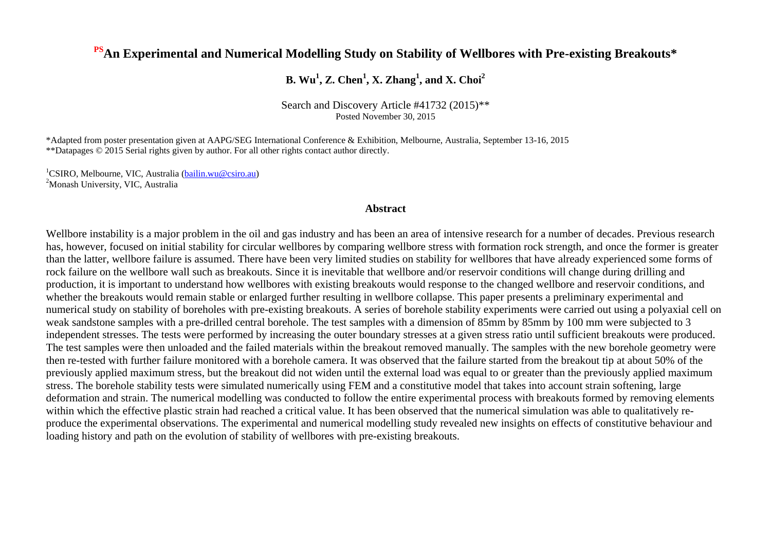# **PSAn Experimental and Numerical Modelling Study on Stability of Wellbores with Pre-existing Breakouts\***

# **B. Wu<sup>1</sup> , Z. Chen<sup>1</sup> , X. Zhang<sup>1</sup> , and X. Choi<sup>2</sup>**

Search and Discovery Article #41732 (2015)\*\* Posted November 30, 2015

\*Adapted from poster presentation given at AAPG/SEG International Conference & Exhibition, Melbourne, Australia, September 13-16, 2015 \*\*Datapages © 2015 Serial rights given by author. For all other rights contact author directly.

<sup>1</sup>CSIRO, Melbourne, VIC, Australia [\(bailin.wu@csiro.au\)](mailto:bailin.wu@csiro.au) <sup>2</sup>Monash University, VIC, Australia

### **Abstract**

Wellbore instability is a major problem in the oil and gas industry and has been an area of intensive research for a number of decades. Previous research has, however, focused on initial stability for circular wellbores by comparing wellbore stress with formation rock strength, and once the former is greater than the latter, wellbore failure is assumed. There have been very limited studies on stability for wellbores that have already experienced some forms of rock failure on the wellbore wall such as breakouts. Since it is inevitable that wellbore and/or reservoir conditions will change during drilling and production, it is important to understand how wellbores with existing breakouts would response to the changed wellbore and reservoir conditions, and whether the breakouts would remain stable or enlarged further resulting in wellbore collapse. This paper presents a preliminary experimental and numerical study on stability of boreholes with pre-existing breakouts. A series of borehole stability experiments were carried out using a polyaxial cell on weak sandstone samples with a pre-drilled central borehole. The test samples with a dimension of 85mm by 85mm by 100 mm were subjected to 3 independent stresses. The tests were performed by increasing the outer boundary stresses at a given stress ratio until sufficient breakouts were produced. The test samples were then unloaded and the failed materials within the breakout removed manually. The samples with the new borehole geometry were then re-tested with further failure monitored with a borehole camera. It was observed that the failure started from the breakout tip at about 50% of the previously applied maximum stress, but the breakout did not widen until the external load was equal to or greater than the previously applied maximum stress. The borehole stability tests were simulated numerically using FEM and a constitutive model that takes into account strain softening, large deformation and strain. The numerical modelling was conducted to follow the entire experimental process with breakouts formed by removing elements within which the effective plastic strain had reached a critical value. It has been observed that the numerical simulation was able to qualitatively reproduce the experimental observations. The experimental and numerical modelling study revealed new insights on effects of constitutive behaviour and loading history and path on the evolution of stability of wellbores with pre-existing breakouts.